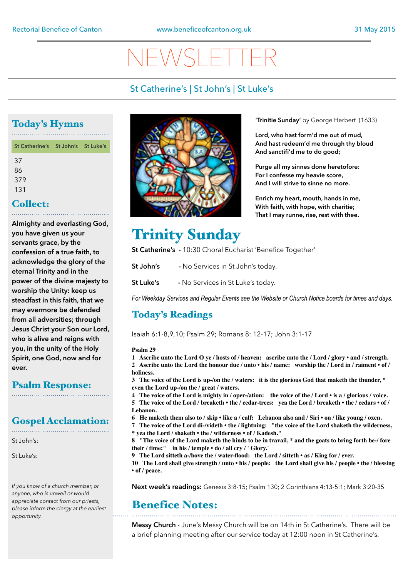# NEWSLETTER

# St Catherine's | St John's | St Luke's

# Today's Hymns

| St Catherine's St John's St Luke's |  |
|------------------------------------|--|
| 37<br>86<br>379<br>131             |  |
|                                    |  |
| $\mathsf{Callact} \cdot$           |  |

### Collect:

**Almighty and everlasting God, you have given us your servants grace, by the confession of a true faith, to acknowledge the glory of the eternal Trinity and in the power of the divine majesty to worship the Unity: keep us steadfast in this faith, that we may evermore be defended from all adversities; through Jesus Christ your Son our Lord, who is alive and reigns with you, in the unity of the Holy Spirit, one God, now and for ever.**

# Psalm Response:

### Gospel Acclamation:

St John's:

St Luke's:

*If you know of a church member, or anyone, who is unwell or would appreciate contact from our priests, please inform the clergy at the earliest opportunity.* 



**'Trinitie Sunday'** by George Herbert (1633)

**Lord, who hast form'd me out of mud, And hast redeem'd me through thy bloud And sanctifi'd me to do good;** 

**Purge all my sinnes done heretofore: For I confesse my heavie score, And I will strive to sinne no more.** 

**Enrich my heart, mouth, hands in me, With faith, with hope, with charitie; That I may runne, rise, rest with thee.**

# Trinity Sunday

**St Catherine's -** 10:30 Choral Eucharist 'Benefice Together'

**St John's -** No Services in St John's today.

**St Luke's -** No Services in St Luke's today.

*For Weekday Services and Regular Events see the Website or Church Notice boards for times and days.*

# Today's Readings

Isaiah 6:1-8,9,10; Psalm 29; Romans 8: 12-17; John 3:1-17

### **Psalm 29**

**1 Ascribe unto the Lord O ye / hosts of / heaven: ascribe unto the / Lord / glory • and / strength. 2 Ascribe unto the Lord the honour due / unto • his / name: worship the / Lord in / raiment • of / holiness.**

**3 The voice of the Lord is up-/on the / waters: it is the glorious God that maketh the thunder, \* even the Lord up-/on the / great / waters.**

- **4 The voice of the Lord is mighty in / oper-/ation: the voice of the / Lord is a / glorious / voice.**
- **5 The voice of the Lord / breaketh the / cedar-trees: yea the Lord / breaketh the / cedars of / Lebanon.**
- **6 He maketh them also to / skip like a / calf: Lebanon also and / Siri on / like young / oxen.**
- **7 The voice of the Lord di-/videth the / lightning: "the voice of the Lord shaketh the wilderness, \* yea the Lord / shaketh • the / wilderness • of / Kadesh."**

**8 "The voice of the Lord maketh the hinds to be in travail, \* and the goats to bring forth be-/ fore their / time:" in his / temple • do / all cry / ' Glory.'**

**9 The Lord sitteth a-/bove the / water-flood: the Lord / sitteth • as / King for / ever.**

**10 The Lord shall give strength / unto • his / people: the Lord shall give his / people • the / blessing • of / peace.**

**Next week's readings:** Genesis 3:8-15; Psalm 130; 2 Corinthians 4:13-5:1; Mark 3:20-35

# Benefice Notes:

**Messy Church** - June's Messy Church will be on 14th in St Catherine's. There will be a brief planning meeting after our service today at 12:00 noon in St Catherine's.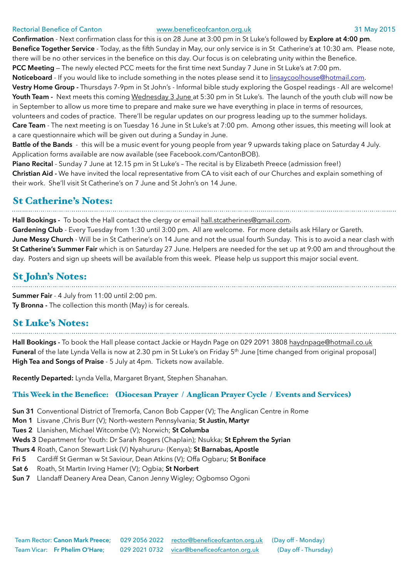### Rectorial Benefice of Canton [www.beneficeofcanton.org.uk](http://www.beneficeofcanton.org.uk) 31 May 2015

**Confirmation** - Next confirmation class for this is on 28 June at 3:00 pm in St Luke's followed by **Explore at 4:00 pm**. **Benefice Together Service** - Today, as the fifth Sunday in May, our only service is in St Catherine's at 10:30 am. Please note, there will be no other services in the benefice on this day. Our focus is on celebrating unity within the Benefice. **PCC Meeting** — The newly elected PCC meets for the first time next Sunday 7 June in St Luke's at 7:00 pm.

**Noticeboard** - If you would like to include something in the notes please send it to [linsaycoolhouse@hotmail.com](mailto:linsaycoolhouse@hotmail.com).

**Vestry Home Group -** Thursdays 7-9pm in St John's - Informal bible study exploring the Gospel readings - All are welcome! Youth Team - Next meets this coming Wednesday 3 June at 5:30 pm in St Luke's. The launch of the youth club will now be in September to allow us more time to prepare and make sure we have everything in place in terms of resources,

volunteers and codes of practice. There'll be regular updates on our progress leading up to the summer holidays.

**Care Team** - The next meeting is on Tuesday 16 June in St Luke's at 7:00 pm. Among other issues, this meeting will look at a care questionnaire which will be given out during a Sunday in June.

**Battle of the Bands** - this will be a music event for young people from year 9 upwards taking place on Saturday 4 July. Application forms available are now available (see Facebook.com/CantonBOB).

**Piano Recital** - Sunday 7 June at 12.15 pm in St Luke's – The recital is by Elizabeth Preece (admission free!)

**Christian Aid -** We have invited the local representative from CA to visit each of our Churches and explain something of their work. She'll visit St Catherine's on 7 June and St John's on 14 June.

## St Catherine's Notes:

**Hall Bookings -** To book the Hall contact the clergy or email [hall.stcatherines@gmail.com](mailto:hall.stcatherines@gmail.com).

**Gardening Club** - Every Tuesday from 1:30 until 3:00 pm. All are welcome. For more details ask Hilary or Gareth. **June Messy Church** - Will be in St Catherine's on 14 June and not the usual fourth Sunday. This is to avoid a near clash with **St Catherine's Summer Fair** which is on Saturday 27 June. Helpers are needed for the set up at 9:00 am and throughout the day. Posters and sign up sheets will be available from this week. Please help us support this major social event.

# St John's Notes:

**Summer Fair** - 4 July from 11:00 until 2:00 pm. **Ty Bronna -** The collection this month (May) is for cereals.

# St Luke's Notes:

**Hall Bookings -** To book the Hall please contact Jackie or Haydn Page on 029 2091 3808 [haydnpage@hotmail.co.uk](mailto:haydnpage@hotmail.co.uk) **Funeral** of the late Lynda Vella is now at 2.30 pm in St Luke's on Friday 5<sup>th</sup> June [time changed from original proposal] **High Tea and Songs of Praise** - 5 July at 4pm. Tickets now available.

**Recently Departed:** Lynda Vella, Margaret Bryant, Stephen Shanahan.

### This Week in the Benefice: (Diocesan Prayer / Anglican Prayer Cycle / Events and Services)

- **Sun 31** Conventional District of Tremorfa, Canon Bob Capper (V); The Anglican Centre in Rome
- **Mon 1** Lisvane ,Chris Burr (V); North-western Pennsylvania; **St Justin, Martyr**
- **Tues 2** Llanishen, Michael Witcombe (V); Norwich; **St Columba**
- **Weds 3** Department for Youth: Dr Sarah Rogers (Chaplain); Nsukka; **St Ephrem the Syrian**
- **Thurs 4** Roath, Canon Stewart Lisk (V) Nyahururu- (Kenya); **St Barnabas, Apostle**
- **Fri 5** Cardiff St German w St Saviour, Dean Atkins (V); Offa Ogbaru; **St Boniface**
- **Sat 6** Roath, St Martin Irving Hamer (V); Ogbia; **St Norbert**
- **Sun 7** Llandaff Deanery Area Dean, Canon Jenny Wigley; Ogbomso Ogoni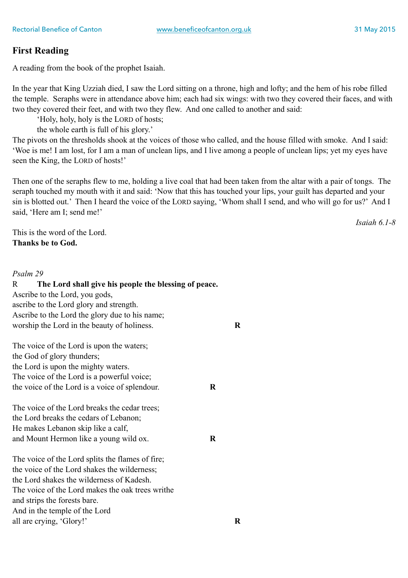### **First Reading**

A reading from the book of the prophet Isaiah.

In the year that King Uzziah died, I saw the Lord sitting on a throne, high and lofty; and the hem of his robe filled the temple. Seraphs were in attendance above him; each had six wings: with two they covered their faces, and with two they covered their feet, and with two they flew. And one called to another and said:

'Holy, holy, holy is the LORD of hosts;

the whole earth is full of his glory.'

The pivots on the thresholds shook at the voices of those who called, and the house filled with smoke. And I said: 'Woe is me! I am lost, for I am a man of unclean lips, and I live among a people of unclean lips; yet my eyes have seen the King, the LORD of hosts!'

Then one of the seraphs flew to me, holding a live coal that had been taken from the altar with a pair of tongs. The seraph touched my mouth with it and said: 'Now that this has touched your lips, your guilt has departed and your sin is blotted out.' Then I heard the voice of the LORD saying, 'Whom shall I send, and who will go for us?' And I said, 'Here am I; send me!'

*Isaiah 6.1-8* 

This is the word of the Lord. **Thanks be to God.** 

### *Psalm 29*

| The Lord shall give his people the blessing of peace.<br>$\mathbf{R}$ |         |         |
|-----------------------------------------------------------------------|---------|---------|
| Ascribe to the Lord, you gods,                                        |         |         |
| ascribe to the Lord glory and strength.                               |         |         |
| Ascribe to the Lord the glory due to his name;                        |         |         |
| worship the Lord in the beauty of holiness.                           |         | $\bf R$ |
| The voice of the Lord is upon the waters;                             |         |         |
| the God of glory thunders;                                            |         |         |
| the Lord is upon the mighty waters.                                   |         |         |
| The voice of the Lord is a powerful voice;                            |         |         |
| the voice of the Lord is a voice of splendour.                        | $\bf R$ |         |
| The voice of the Lord breaks the cedar trees;                         |         |         |
| the Lord breaks the cedars of Lebanon;                                |         |         |
| He makes Lebanon skip like a calf,                                    |         |         |
| and Mount Hermon like a young wild ox.                                | $\bf R$ |         |
| The voice of the Lord splits the flames of fire;                      |         |         |
| the voice of the Lord shakes the wilderness;                          |         |         |
| the Lord shakes the wilderness of Kadesh.                             |         |         |
| The voice of the Lord makes the oak trees writhe                      |         |         |
| and strips the forests bare.                                          |         |         |
| And in the temple of the Lord                                         |         |         |
| all are crying, 'Glory!'                                              |         | R       |